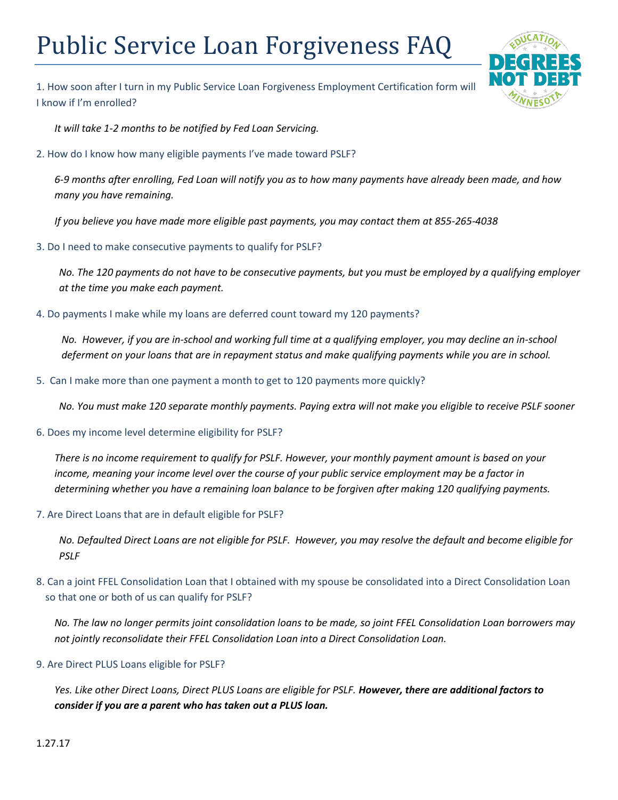## Public Service Loan Forgiveness FAQ

1. How soon after I turn in my Public Service Loan Forgiveness Employment Certification form will I know if I'm enrolled?

*It will take 1-2 months to be notified by Fed Loan Servicing.* 

2. How do I know how many eligible payments I've made toward PSLF?

*6-9 months after enrolling, Fed Loan will notify you as to how many payments have already been made, and how many you have remaining.* 

*If you believe you have made more eligible past payments, you may contact them at 855-265-4038*

3. Do I need to make consecutive payments to qualify for PSLF?

*No. The 120 payments do not have to be consecutive payments, but you must be employed by a qualifying employer at the time you make each payment.*

4. Do payments I make while my loans are deferred count toward my 120 payments?

*No. However, if you are in-school and working full time at a qualifying employer, you may decline an in-school deferment on your loans that are in repayment status and make qualifying payments while you are in school.* 

5. Can I make more than one payment a month to get to 120 payments more quickly?

*No. You must make 120 separate monthly payments. Paying extra will not make you eligible to receive PSLF sooner*

6. Does my income level determine eligibility for PSLF?

*There is no income requirement to qualify for PSLF. However, your monthly payment amount is based on your income, meaning your income level over the course of your public service employment may be a factor in determining whether you have a remaining loan balance to be forgiven after making 120 qualifying payments.*

7. Are Direct Loans that are in default eligible for PSLF?

*No. Defaulted Direct Loans are not eligible for PSLF. However, you may resolve the default and become eligible for PSLF* 

8. Can a joint FFEL Consolidation Loan that I obtained with my spouse be consolidated into a Direct Consolidation Loan so that one or both of us can qualify for PSLF?

*No. The law no longer permits joint consolidation loans to be made, so joint FFEL Consolidation Loan borrowers may not jointly reconsolidate their FFEL Consolidation Loan into a Direct Consolidation Loan.* 

9. Are Direct PLUS Loans eligible for PSLF?

*Yes. Like other Direct Loans, Direct PLUS Loans are eligible for PSLF. However, there are additional factors to consider if you are a parent who has taken out a PLUS loan.*